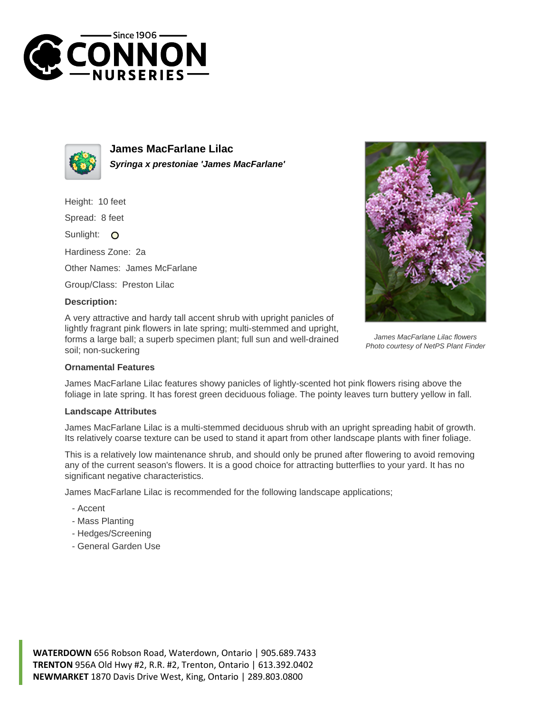



**James MacFarlane Lilac Syringa x prestoniae 'James MacFarlane'**

Height: 10 feet

Spread: 8 feet

Sunlight: O

Hardiness Zone: 2a

Other Names: James McFarlane

Group/Class: Preston Lilac

## **Description:**

A very attractive and hardy tall accent shrub with upright panicles of lightly fragrant pink flowers in late spring; multi-stemmed and upright, forms a large ball; a superb specimen plant; full sun and well-drained soil; non-suckering



James MacFarlane Lilac flowers Photo courtesy of NetPS Plant Finder

## **Ornamental Features**

James MacFarlane Lilac features showy panicles of lightly-scented hot pink flowers rising above the foliage in late spring. It has forest green deciduous foliage. The pointy leaves turn buttery yellow in fall.

## **Landscape Attributes**

James MacFarlane Lilac is a multi-stemmed deciduous shrub with an upright spreading habit of growth. Its relatively coarse texture can be used to stand it apart from other landscape plants with finer foliage.

This is a relatively low maintenance shrub, and should only be pruned after flowering to avoid removing any of the current season's flowers. It is a good choice for attracting butterflies to your yard. It has no significant negative characteristics.

James MacFarlane Lilac is recommended for the following landscape applications;

- Accent
- Mass Planting
- Hedges/Screening
- General Garden Use

**WATERDOWN** 656 Robson Road, Waterdown, Ontario | 905.689.7433 **TRENTON** 956A Old Hwy #2, R.R. #2, Trenton, Ontario | 613.392.0402 **NEWMARKET** 1870 Davis Drive West, King, Ontario | 289.803.0800